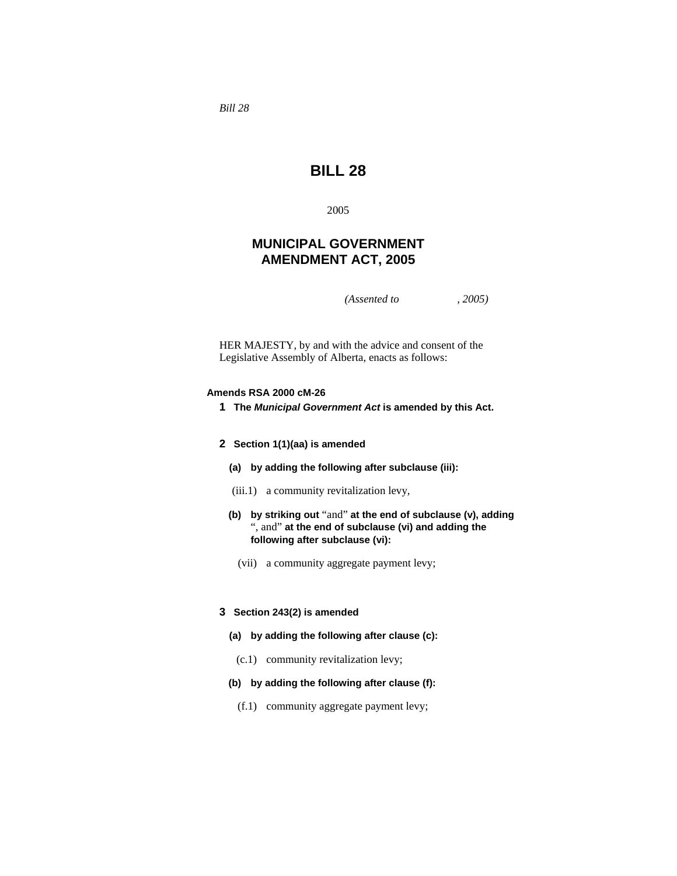*Bill 28* 

# **BILL 28**

2005

# **MUNICIPAL GOVERNMENT AMENDMENT ACT, 2005**

*(Assented to , 2005)* 

HER MAJESTY, by and with the advice and consent of the Legislative Assembly of Alberta, enacts as follows:

### **Amends RSA 2000 cM-26**

- **1 The** *Municipal Government Act* **is amended by this Act.**
- **2 Section 1(1)(aa) is amended**
	- **(a) by adding the following after subclause (iii):**
	- (iii.1) a community revitalization levy,
	- **(b) by striking out** "and" **at the end of subclause (v), adding**  ", and" **at the end of subclause (vi) and adding the following after subclause (vi):** 
		- (vii) a community aggregate payment levy;

### **3 Section 243(2) is amended**

- **(a) by adding the following after clause (c):**
- (c.1) community revitalization levy;
- **(b) by adding the following after clause (f):**
	- (f.1) community aggregate payment levy;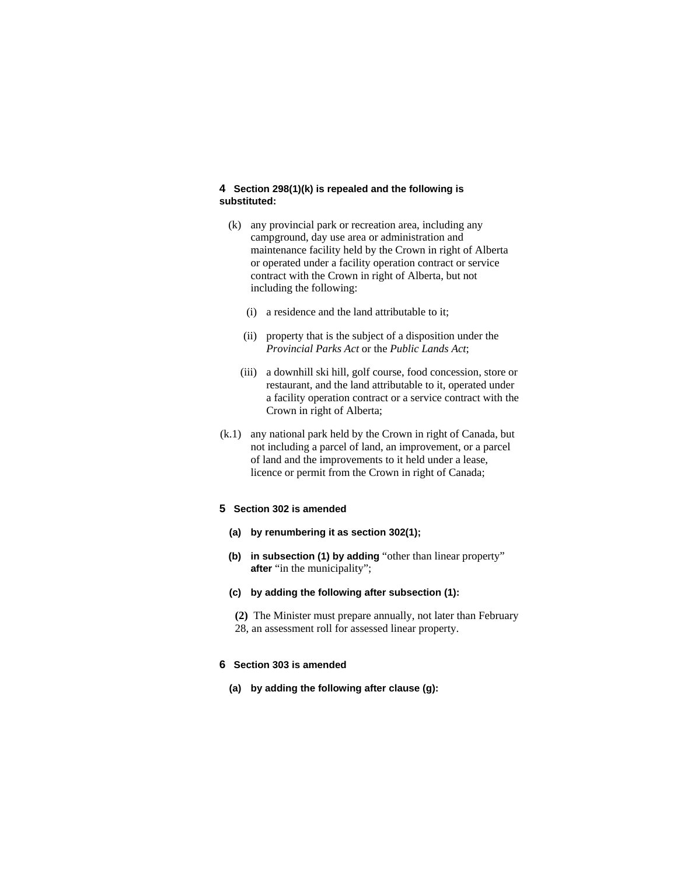# **4 Section 298(1)(k) is repealed and the following is substituted:**

- (k) any provincial park or recreation area, including any campground, day use area or administration and maintenance facility held by the Crown in right of Alberta or operated under a facility operation contract or service contract with the Crown in right of Alberta, but not including the following:
	- (i) a residence and the land attributable to it;
	- (ii) property that is the subject of a disposition under the *Provincial Parks Act* or the *Public Lands Act*;
	- (iii) a downhill ski hill, golf course, food concession, store or restaurant, and the land attributable to it, operated under a facility operation contract or a service contract with the Crown in right of Alberta;
- (k.1) any national park held by the Crown in right of Canada, but not including a parcel of land, an improvement, or a parcel of land and the improvements to it held under a lease, licence or permit from the Crown in right of Canada;

# **5 Section 302 is amended**

- **(a) by renumbering it as section 302(1);**
- **(b) in subsection (1) by adding** "other than linear property" **after** "in the municipality";
- **(c) by adding the following after subsection (1):** 
	- **(2)** The Minister must prepare annually, not later than February 28, an assessment roll for assessed linear property.

# **6 Section 303 is amended**

**(a) by adding the following after clause (g):**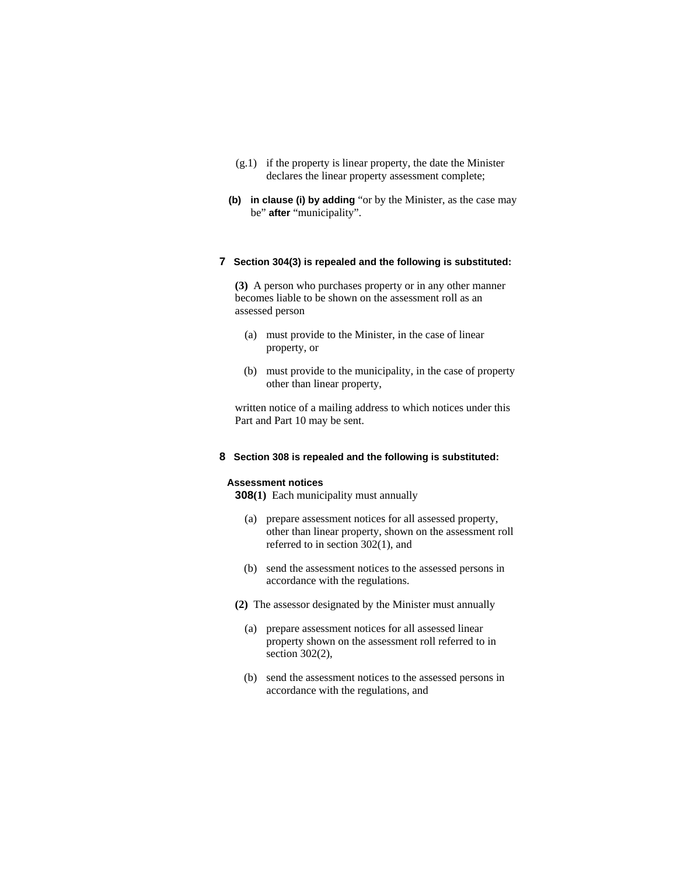- (g.1) if the property is linear property, the date the Minister declares the linear property assessment complete;
- **(b) in clause (i) by adding** "or by the Minister, as the case may be" **after** "municipality".

# **7 Section 304(3) is repealed and the following is substituted:**

**(3)** A person who purchases property or in any other manner becomes liable to be shown on the assessment roll as an assessed person

- (a) must provide to the Minister, in the case of linear property, or
- (b) must provide to the municipality, in the case of property other than linear property,

written notice of a mailing address to which notices under this Part and Part 10 may be sent.

# **8 Section 308 is repealed and the following is substituted:**

#### **Assessment notices**

**308(1)** Each municipality must annually

- (a) prepare assessment notices for all assessed property, other than linear property, shown on the assessment roll referred to in section 302(1), and
- (b) send the assessment notices to the assessed persons in accordance with the regulations.
- **(2)** The assessor designated by the Minister must annually
	- (a) prepare assessment notices for all assessed linear property shown on the assessment roll referred to in section 302(2),
	- (b) send the assessment notices to the assessed persons in accordance with the regulations, and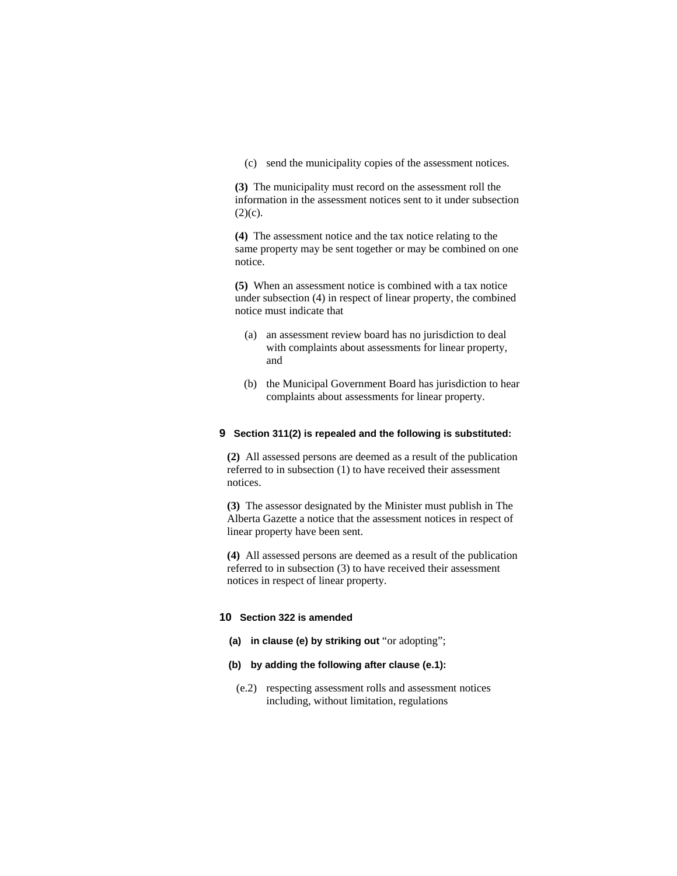(c) send the municipality copies of the assessment notices.

**(3)** The municipality must record on the assessment roll the information in the assessment notices sent to it under subsection  $(2)(c)$ .

**(4)** The assessment notice and the tax notice relating to the same property may be sent together or may be combined on one notice.

**(5)** When an assessment notice is combined with a tax notice under subsection (4) in respect of linear property, the combined notice must indicate that

- (a) an assessment review board has no jurisdiction to deal with complaints about assessments for linear property, and
- (b) the Municipal Government Board has jurisdiction to hear complaints about assessments for linear property.

### **9 Section 311(2) is repealed and the following is substituted:**

**(2)** All assessed persons are deemed as a result of the publication referred to in subsection (1) to have received their assessment notices.

**(3)** The assessor designated by the Minister must publish in The Alberta Gazette a notice that the assessment notices in respect of linear property have been sent.

**(4)** All assessed persons are deemed as a result of the publication referred to in subsection (3) to have received their assessment notices in respect of linear property.

# **10 Section 322 is amended**

- **(a) in clause (e) by striking out** "or adopting";
- **(b) by adding the following after clause (e.1):** 
	- (e.2) respecting assessment rolls and assessment notices including, without limitation, regulations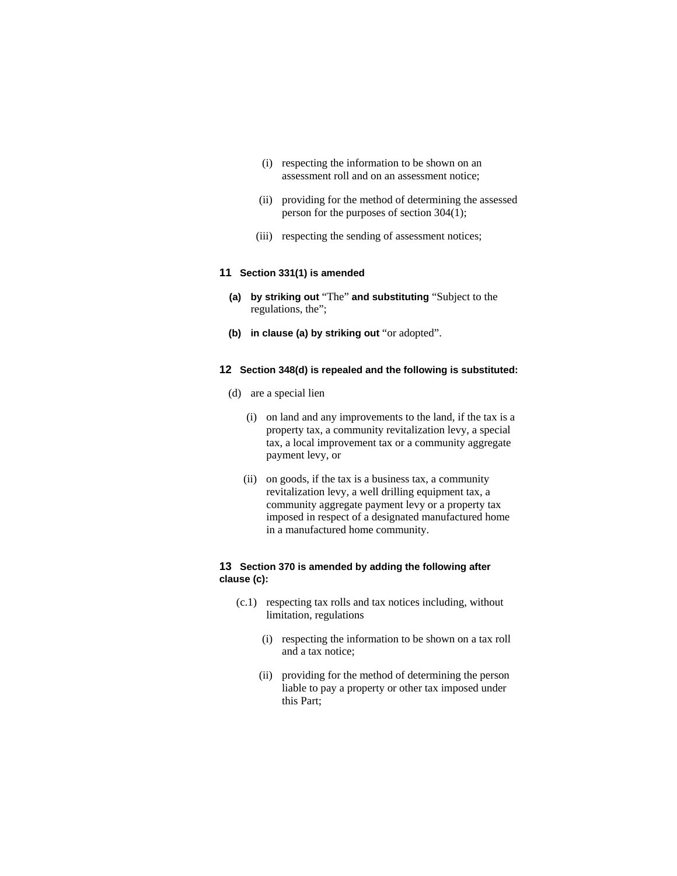- (i) respecting the information to be shown on an assessment roll and on an assessment notice;
- (ii) providing for the method of determining the assessed person for the purposes of section 304(1);
- (iii) respecting the sending of assessment notices;

# **11 Section 331(1) is amended**

- **(a) by striking out** "The" **and substituting** "Subject to the regulations, the";
- **(b) in clause (a) by striking out** "or adopted".

#### **12 Section 348(d) is repealed and the following is substituted:**

- (d) are a special lien
	- (i) on land and any improvements to the land, if the tax is a property tax, a community revitalization levy, a special tax, a local improvement tax or a community aggregate payment levy, or
	- (ii) on goods, if the tax is a business tax, a community revitalization levy, a well drilling equipment tax, a community aggregate payment levy or a property tax imposed in respect of a designated manufactured home in a manufactured home community.

# **13 Section 370 is amended by adding the following after clause (c):**

- (c.1) respecting tax rolls and tax notices including, without limitation, regulations
	- (i) respecting the information to be shown on a tax roll and a tax notice;
	- (ii) providing for the method of determining the person liable to pay a property or other tax imposed under this Part;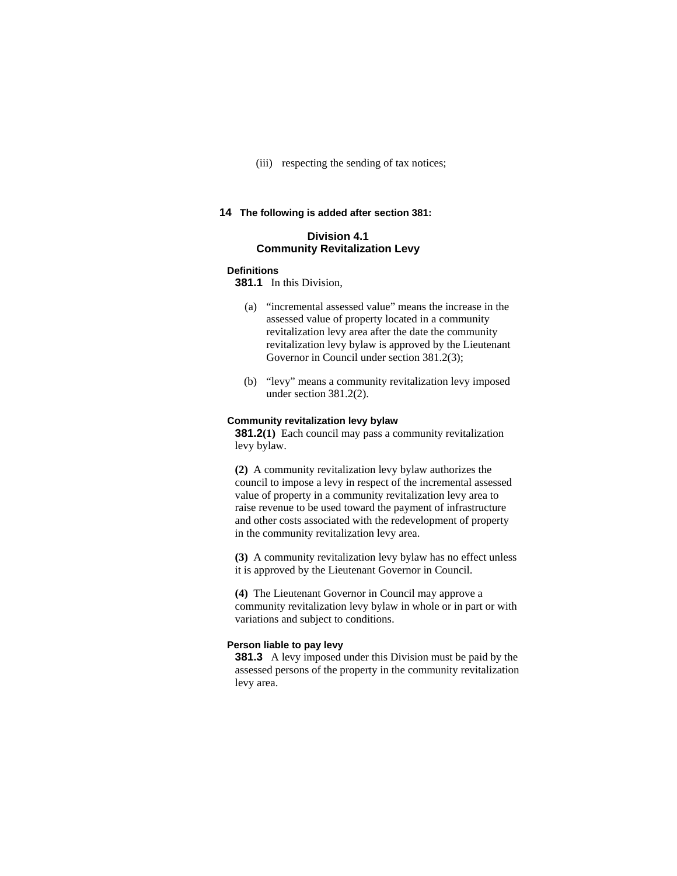(iii) respecting the sending of tax notices;

## **14 The following is added after section 381:**

# **Division 4.1 Community Revitalization Levy**

# **Definitions**

**381.1** In this Division,

- (a) "incremental assessed value" means the increase in the assessed value of property located in a community revitalization levy area after the date the community revitalization levy bylaw is approved by the Lieutenant Governor in Council under section 381.2(3);
- (b) "levy" means a community revitalization levy imposed under section 381.2(2).

#### **Community revitalization levy bylaw**

**381.2(1)** Each council may pass a community revitalization levy bylaw.

**(2)** A community revitalization levy bylaw authorizes the council to impose a levy in respect of the incremental assessed value of property in a community revitalization levy area to raise revenue to be used toward the payment of infrastructure and other costs associated with the redevelopment of property in the community revitalization levy area.

**(3)** A community revitalization levy bylaw has no effect unless it is approved by the Lieutenant Governor in Council.

**(4)** The Lieutenant Governor in Council may approve a community revitalization levy bylaw in whole or in part or with variations and subject to conditions.

#### **Person liable to pay levy**

**381.3** A levy imposed under this Division must be paid by the assessed persons of the property in the community revitalization levy area.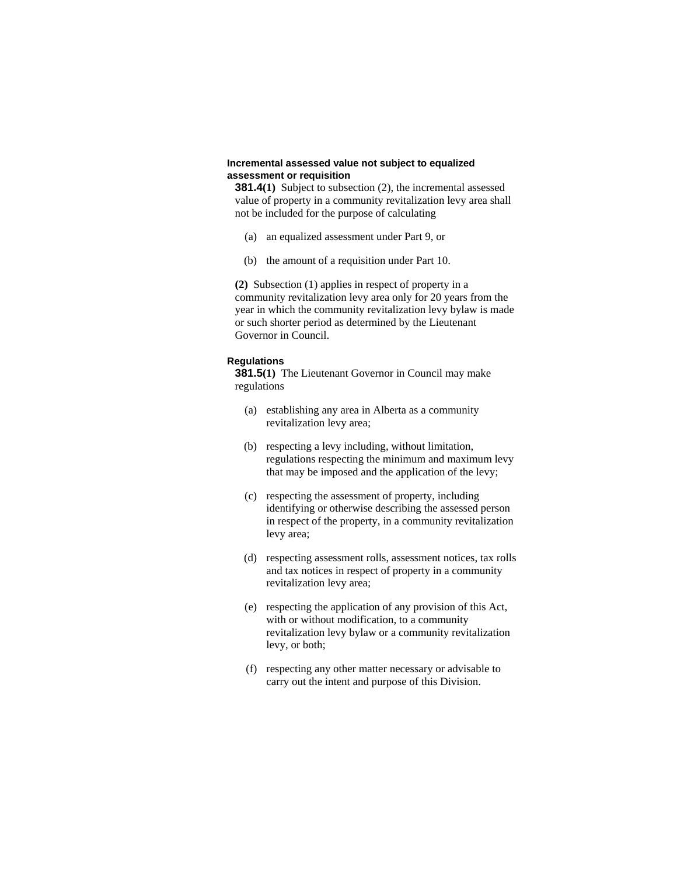#### **Incremental assessed value not subject to equalized assessment or requisition**

**381.4(1)** Subject to subsection (2), the incremental assessed value of property in a community revitalization levy area shall not be included for the purpose of calculating

- (a) an equalized assessment under Part 9, or
- (b) the amount of a requisition under Part 10.

**(2)** Subsection (1) applies in respect of property in a community revitalization levy area only for 20 years from the year in which the community revitalization levy bylaw is made or such shorter period as determined by the Lieutenant Governor in Council.

#### **Regulations**

**381.5(1)** The Lieutenant Governor in Council may make regulations

- (a) establishing any area in Alberta as a community revitalization levy area;
- (b) respecting a levy including, without limitation, regulations respecting the minimum and maximum levy that may be imposed and the application of the levy;
- (c) respecting the assessment of property, including identifying or otherwise describing the assessed person in respect of the property, in a community revitalization levy area;
- (d) respecting assessment rolls, assessment notices, tax rolls and tax notices in respect of property in a community revitalization levy area;
- (e) respecting the application of any provision of this Act, with or without modification, to a community revitalization levy bylaw or a community revitalization levy, or both;
- (f) respecting any other matter necessary or advisable to carry out the intent and purpose of this Division.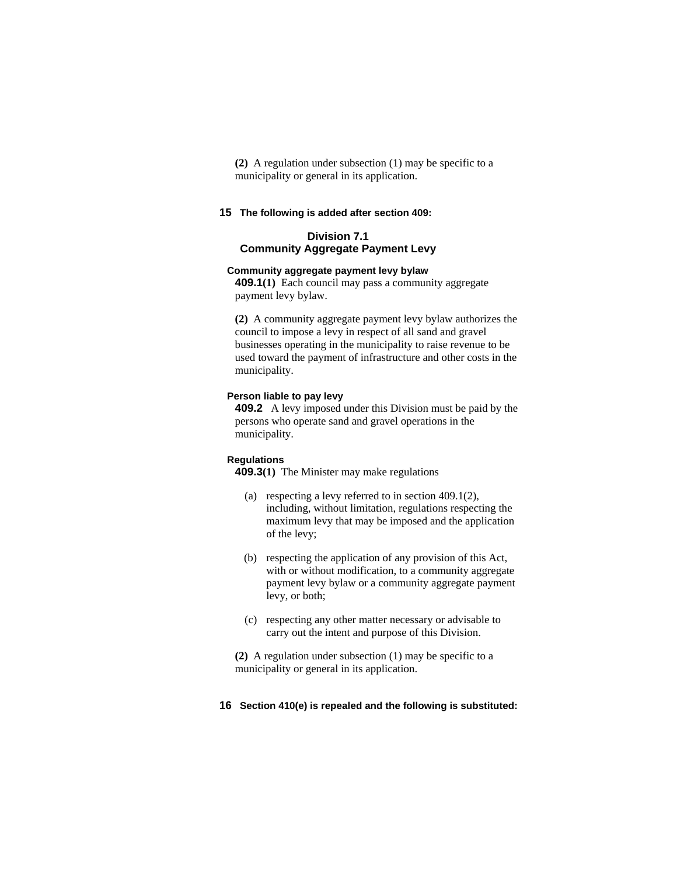**(2)** A regulation under subsection (1) may be specific to a municipality or general in its application.

# **15 The following is added after section 409:**

# **Division 7.1 Community Aggregate Payment Levy**

#### **Community aggregate payment levy bylaw**

**409.1(1)** Each council may pass a community aggregate payment levy bylaw.

**(2)** A community aggregate payment levy bylaw authorizes the council to impose a levy in respect of all sand and gravel businesses operating in the municipality to raise revenue to be used toward the payment of infrastructure and other costs in the municipality.

#### **Person liable to pay levy**

**409.2** A levy imposed under this Division must be paid by the persons who operate sand and gravel operations in the municipality.

#### **Regulations**

**409.3(1)** The Minister may make regulations

- (a) respecting a levy referred to in section 409.1(2), including, without limitation, regulations respecting the maximum levy that may be imposed and the application of the levy;
- (b) respecting the application of any provision of this Act, with or without modification, to a community aggregate payment levy bylaw or a community aggregate payment levy, or both;
- (c) respecting any other matter necessary or advisable to carry out the intent and purpose of this Division.
- **(2)** A regulation under subsection (1) may be specific to a municipality or general in its application.

### **16 Section 410(e) is repealed and the following is substituted:**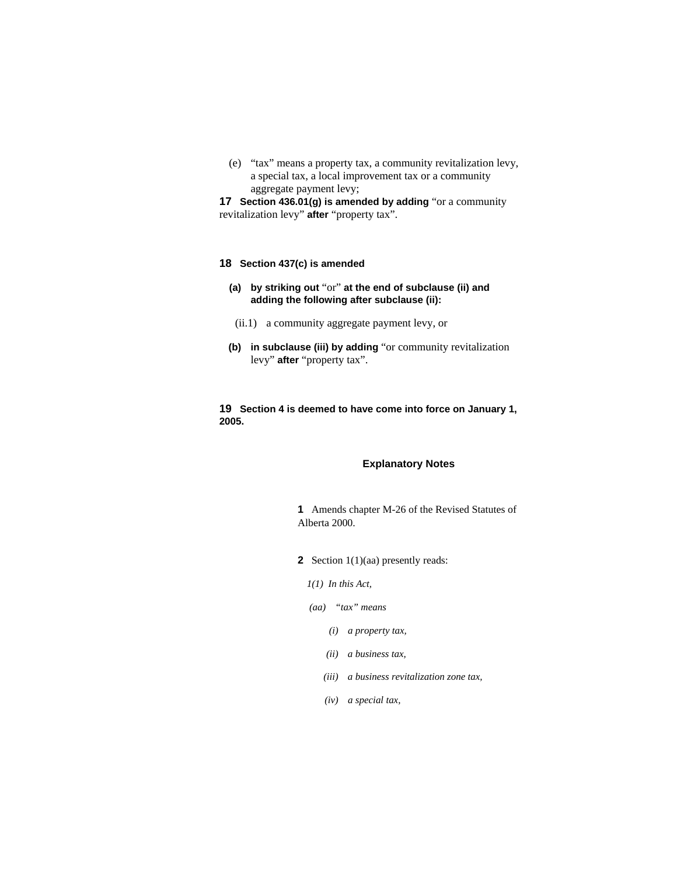(e) "tax" means a property tax, a community revitalization levy, a special tax, a local improvement tax or a community aggregate payment levy;

**17 Section 436.01(g) is amended by adding** "or a community revitalization levy" **after** "property tax".

#### **18 Section 437(c) is amended**

- **(a) by striking out** "or" **at the end of subclause (ii) and adding the following after subclause (ii):**
	- (ii.1) a community aggregate payment levy, or
- **(b) in subclause (iii) by adding** "or community revitalization levy" **after** "property tax".

**19 Section 4 is deemed to have come into force on January 1, 2005.** 

#### **Explanatory Notes**

**1** Amends chapter M-26 of the Revised Statutes of Alberta 2000.

**2** Section 1(1)(aa) presently reads:

*1(1) In this Act,* 

- *(aa) "tax" means* 
	- *(i) a property tax,*
	- *(ii) a business tax,*
	- *(iii) a business revitalization zone tax,*
	- *(iv) a special tax,*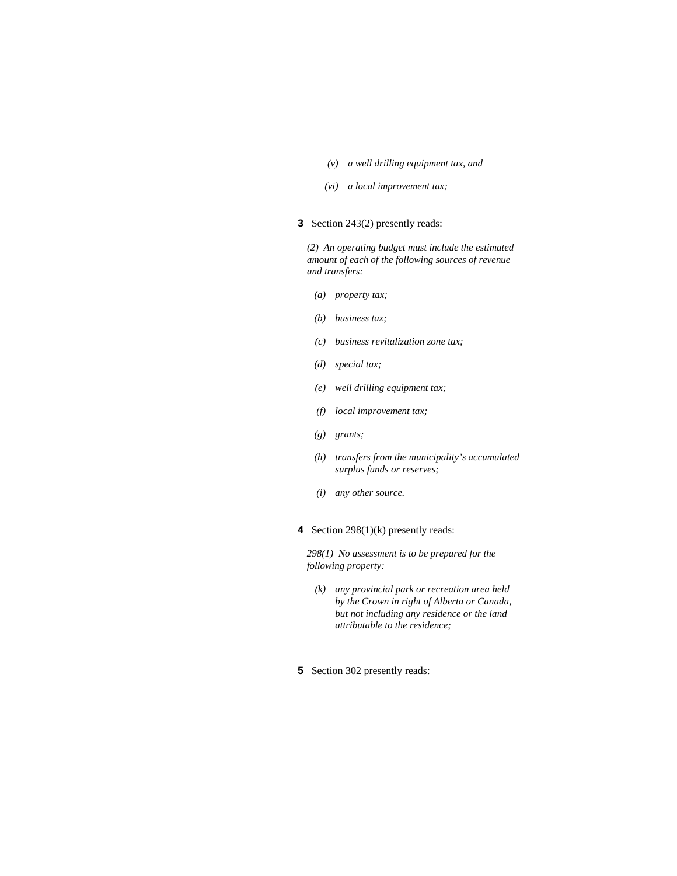- *(v) a well drilling equipment tax, and*
- *(vi) a local improvement tax;*
- **3** Section 243(2) presently reads:

*(2) An operating budget must include the estimated amount of each of the following sources of revenue and transfers:* 

- *(a) property tax;*
- *(b) business tax;*
- *(c) business revitalization zone tax;*
- *(d) special tax;*
- *(e) well drilling equipment tax;*
- *(f) local improvement tax;*
- *(g) grants;*
- *(h) transfers from the municipality's accumulated surplus funds or reserves;*
- *(i) any other source.*
- **4** Section 298(1)(k) presently reads:

*298(1) No assessment is to be prepared for the following property:* 

- *(k) any provincial park or recreation area held by the Crown in right of Alberta or Canada, but not including any residence or the land attributable to the residence;*
- **5** Section 302 presently reads: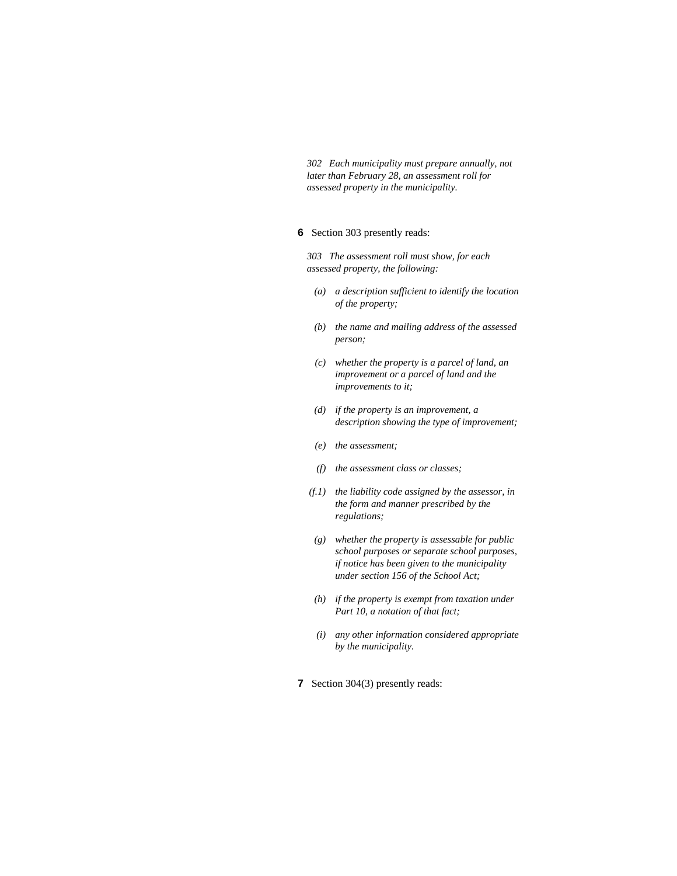*302 Each municipality must prepare annually, not later than February 28, an assessment roll for assessed property in the municipality.* 

#### **6** Section 303 presently reads:

*303 The assessment roll must show, for each assessed property, the following:* 

- *(a) a description sufficient to identify the location of the property;*
- *(b) the name and mailing address of the assessed person;*
- *(c) whether the property is a parcel of land, an improvement or a parcel of land and the improvements to it;*
- *(d) if the property is an improvement, a description showing the type of improvement;*
- *(e) the assessment;*
- *(f) the assessment class or classes;*
- *(f.1) the liability code assigned by the assessor, in the form and manner prescribed by the regulations;*
- *(g) whether the property is assessable for public school purposes or separate school purposes, if notice has been given to the municipality under section 156 of the School Act;*
- *(h) if the property is exempt from taxation under Part 10, a notation of that fact;*
- *(i) any other information considered appropriate by the municipality.*
- **7** Section 304(3) presently reads: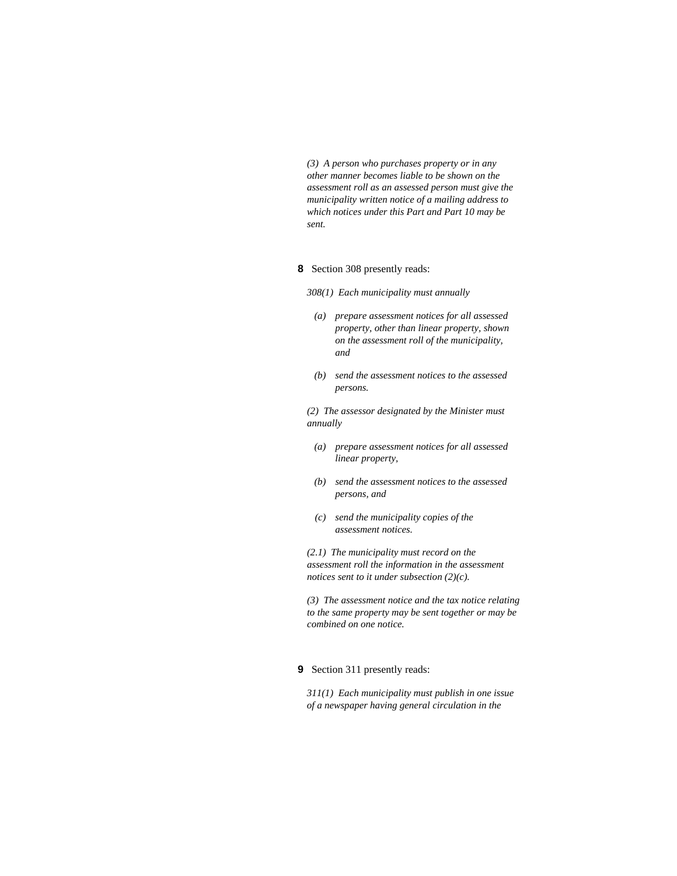*(3) A person who purchases property or in any other manner becomes liable to be shown on the assessment roll as an assessed person must give the municipality written notice of a mailing address to which notices under this Part and Part 10 may be sent.* 

#### **8** Section 308 presently reads:

*308(1) Each municipality must annually* 

- *(a) prepare assessment notices for all assessed property, other than linear property, shown on the assessment roll of the municipality, and*
- *(b) send the assessment notices to the assessed persons.*

*(2) The assessor designated by the Minister must annually* 

- *(a) prepare assessment notices for all assessed linear property,*
- *(b) send the assessment notices to the assessed persons, and*
- *(c) send the municipality copies of the assessment notices.*

*(2.1) The municipality must record on the assessment roll the information in the assessment notices sent to it under subsection (2)(c).* 

*(3) The assessment notice and the tax notice relating to the same property may be sent together or may be combined on one notice.* 

# **9** Section 311 presently reads:

*311(1) Each municipality must publish in one issue of a newspaper having general circulation in the*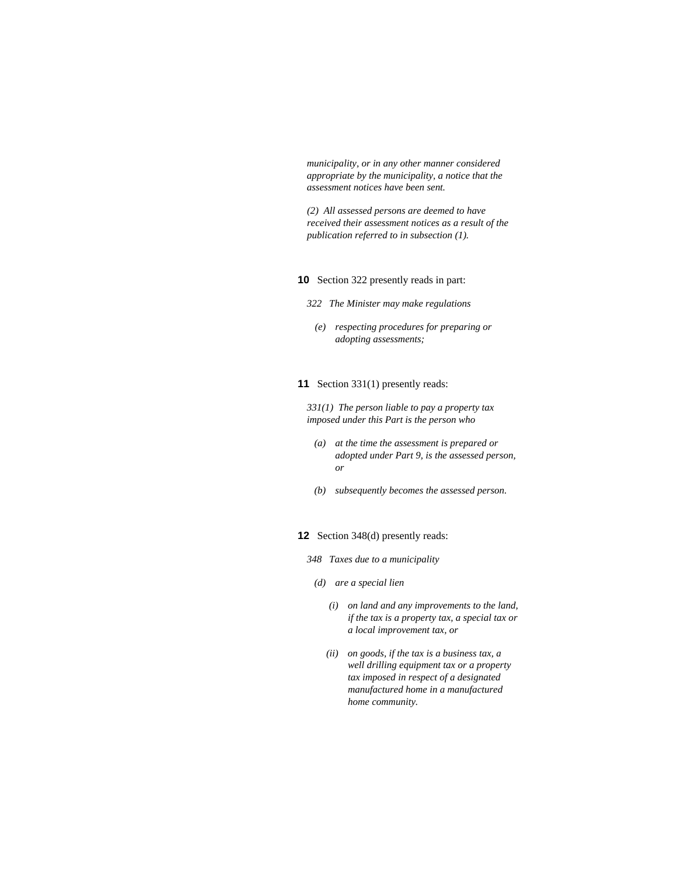*municipality, or in any other manner considered appropriate by the municipality, a notice that the assessment notices have been sent.* 

*(2) All assessed persons are deemed to have received their assessment notices as a result of the publication referred to in subsection (1).* 

#### **10** Section 322 presently reads in part:

- *322 The Minister may make regulations* 
	- *(e) respecting procedures for preparing or adopting assessments;*

### **11** Section 331(1) presently reads:

*331(1) The person liable to pay a property tax imposed under this Part is the person who* 

- *(a) at the time the assessment is prepared or adopted under Part 9, is the assessed person, or*
- *(b) subsequently becomes the assessed person.*

# **12** Section 348(d) presently reads:

- *348 Taxes due to a municipality*
- *(d) are a special lien* 
	- *(i) on land and any improvements to the land, if the tax is a property tax, a special tax or a local improvement tax, or*
	- *(ii) on goods, if the tax is a business tax, a well drilling equipment tax or a property tax imposed in respect of a designated manufactured home in a manufactured home community.*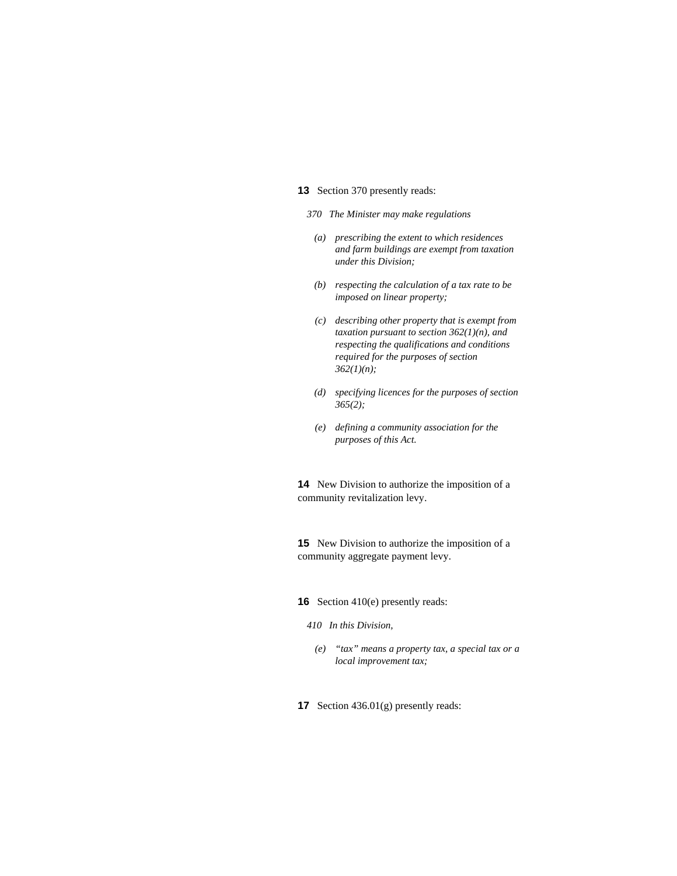#### **13** Section 370 presently reads:

- *370 The Minister may make regulations*
- *(a) prescribing the extent to which residences and farm buildings are exempt from taxation under this Division;*
- *(b) respecting the calculation of a tax rate to be imposed on linear property;*
- *(c) describing other property that is exempt from taxation pursuant to section 362(1)(n), and respecting the qualifications and conditions required for the purposes of section 362(1)(n);*
- *(d) specifying licences for the purposes of section 365(2);*
- *(e) defining a community association for the purposes of this Act.*

**14** New Division to authorize the imposition of a community revitalization levy.

**15** New Division to authorize the imposition of a community aggregate payment levy.

# **16** Section 410(e) presently reads:

#### *410 In this Division,*

- *(e) "tax" means a property tax, a special tax or a local improvement tax;*
- **17** Section 436.01(g) presently reads: